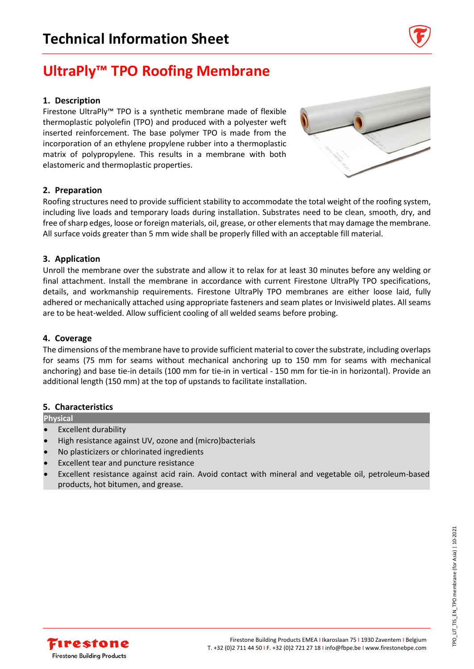**Technical Information Sheet**

# **1. Description**

Firestone UltraPly™ TPO is a synthetic membrane made of flexible thermoplastic polyolefin (TPO) and produced with a polyester weft inserted reinforcement. The base polymer TPO is made from the incorporation of an ethylene propylene rubber into a thermoplastic matrix of polypropylene. This results in a membrane with both elastomeric and thermoplastic properties.



# **2. Preparation**

Roofing structures need to provide sufficient stability to accommodate the total weight of the roofing system, including live loads and temporary loads during installation. Substrates need to be clean, smooth, dry, and free of sharp edges, loose or foreign materials, oil, grease, or other elements that may damage the membrane. All surface voids greater than 5 mm wide shall be properly filled with an acceptable fill material.

# **3. Application**

Unroll the membrane over the substrate and allow it to relax for at least 30 minutes before any welding or final attachment. Install the membrane in accordance with current Firestone UltraPly TPO specifications, details, and workmanship requirements. Firestone UltraPly TPO membranes are either loose laid, fully adhered or mechanically attached using appropriate fasteners and seam plates or Invisiweld plates. All seams are to be heat-welded. Allow sufficient cooling of all welded seams before probing.

#### **4. Coverage**

The dimensions of the membrane have to provide sufficient material to cover the substrate, including overlaps for seams (75 mm for seams without mechanical anchoring up to 150 mm for seams with mechanical anchoring) and base tie-in details (100 mm for tie-in in vertical - 150 mm for tie-in in horizontal). Provide an additional length (150 mm) at the top of upstands to facilitate installation.

#### **5. Characteristics**

**Physical**

- Excellent durability
- High resistance against UV, ozone and (micro)bacterials
- No plasticizers or chlorinated ingredients
- Excellent tear and puncture resistance
- Excellent resistance against acid rain. Avoid contact with mineral and vegetable oil, petroleum-based products, hot bitumen, and grease.